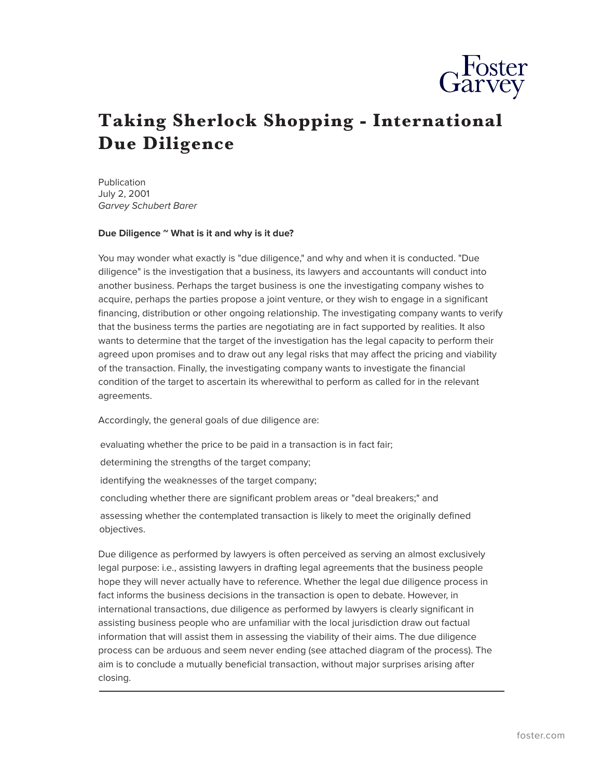

# **Taking Sherlock Shopping - International Due Diligence**

Publication July 2, 2001 *Garvey Schubert Barer*

#### **Due Diligence ~ What is it and why is it due?**

You may wonder what exactly is "due diligence," and why and when it is conducted. "Due diligence" is the investigation that a business, its lawyers and accountants will conduct into another business. Perhaps the target business is one the investigating company wishes to acquire, perhaps the parties propose a joint venture, or they wish to engage in a significant financing, distribution or other ongoing relationship. The investigating company wants to verify that the business terms the parties are negotiating are in fact supported by realities. It also wants to determine that the target of the investigation has the legal capacity to perform their agreed upon promises and to draw out any legal risks that may affect the pricing and viability of the transaction. Finally, the investigating company wants to investigate the financial condition of the target to ascertain its wherewithal to perform as called for in the relevant agreements.

Accordingly, the general goals of due diligence are:

evaluating whether the price to be paid in a transaction is in fact fair;

determining the strengths of the target company;

identifying the weaknesses of the target company;

concluding whether there are significant problem areas or "deal breakers;" and

assessing whether the contemplated transaction is likely to meet the originally defined objectives.

Due diligence as performed by lawyers is often perceived as serving an almost exclusively legal purpose: i.e., assisting lawyers in drafting legal agreements that the business people hope they will never actually have to reference. Whether the legal due diligence process in fact informs the business decisions in the transaction is open to debate. However, in international transactions, due diligence as performed by lawyers is clearly significant in assisting business people who are unfamiliar with the local jurisdiction draw out factual information that will assist them in assessing the viability of their aims. The due diligence process can be arduous and seem never ending (see attached diagram of the process). The aim is to conclude a mutually beneficial transaction, without major surprises arising after closing.  $\overline{a}$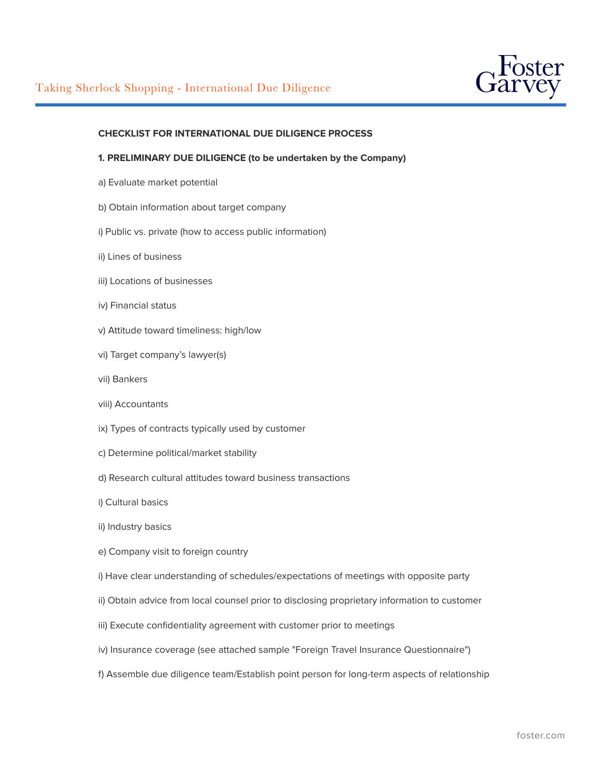

## **CHECKLIST FOR INTERNATIONAL DUE DILIGENCE PROCESS**

### **1. PRELIMINARY DUE DILIGENCE (to be undertaken by the Company)**

- a) Evaluate market potential
- b) Obtain information about target company
- i) Public vs. private (how to access public information)
- ii) Lines of business
- iii) Locations of businesses
- iv) Financial status
- v) Attitude toward timeliness: high/low
- vi) Target company's lawyer(s)
- vii) Bankers
- viii) Accountants
- ix) Types of contracts typically used by customer
- c) Determine political/market stability
- d) Research cultural attitudes toward business transactions
- i) Cultural basics
- ii) Industry basics
- e) Company visit to foreign country
- i) Have clear understanding of schedules/expectations of meetings with opposite party
- ii) Obtain advice from local counsel prior to disclosing proprietary information to customer
- iii) Execute confidentiality agreement with customer prior to meetings
- iv) Insurance coverage (see attached sample "Foreign Travel Insurance Questionnaire")
- f) Assemble due diligence team/Establish point person for long-term aspects of relationship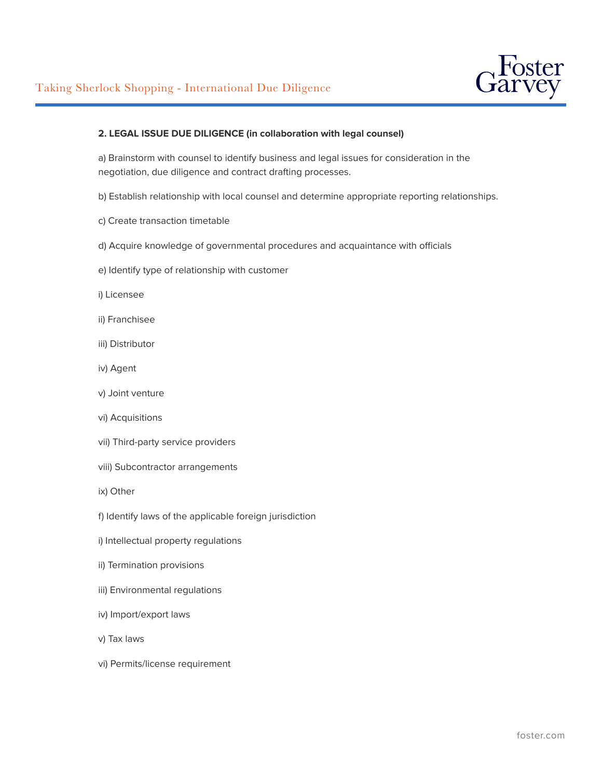

## **2. LEGAL ISSUE DUE DILIGENCE (in collaboration with legal counsel)**

a) Brainstorm with counsel to identify business and legal issues for consideration in the negotiation, due diligence and contract drafting processes.

- b) Establish relationship with local counsel and determine appropriate reporting relationships.
- c) Create transaction timetable
- d) Acquire knowledge of governmental procedures and acquaintance with officials
- e) Identify type of relationship with customer
- i) Licensee
- ii) Franchisee
- iii) Distributor
- iv) Agent
- v) Joint venture
- vi) Acquisitions
- vii) Third-party service providers
- viii) Subcontractor arrangements
- ix) Other
- f) Identify laws of the applicable foreign jurisdiction
- i) Intellectual property regulations
- ii) Termination provisions
- iii) Environmental regulations
- iv) Import/export laws
- v) Tax laws
- vi) Permits/license requirement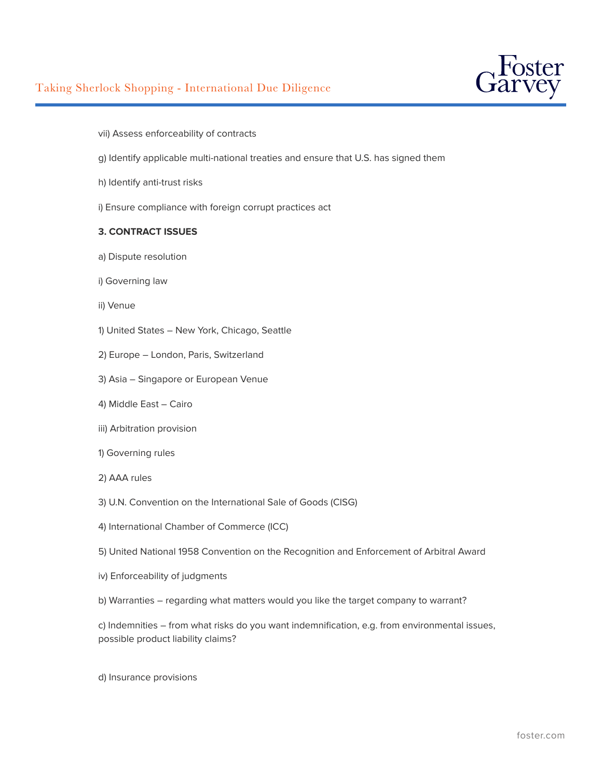

- vii) Assess enforceability of contracts
- g) Identify applicable multi-national treaties and ensure that U.S. has signed them
- h) Identify anti-trust risks
- i) Ensure compliance with foreign corrupt practices act

### **3. CONTRACT ISSUES**

- a) Dispute resolution
- i) Governing law
- ii) Venue
- 1) United States New York, Chicago, Seattle
- 2) Europe London, Paris, Switzerland
- 3) Asia Singapore or European Venue
- 4) Middle East Cairo
- iii) Arbitration provision
- 1) Governing rules
- 2) AAA rules
- 3) U.N. Convention on the International Sale of Goods (CISG)
- 4) International Chamber of Commerce (ICC)
- 5) United National 1958 Convention on the Recognition and Enforcement of Arbitral Award
- iv) Enforceability of judgments
- b) Warranties regarding what matters would you like the target company to warrant?

c) Indemnities – from what risks do you want indemnification, e.g. from environmental issues, possible product liability claims?

d) Insurance provisions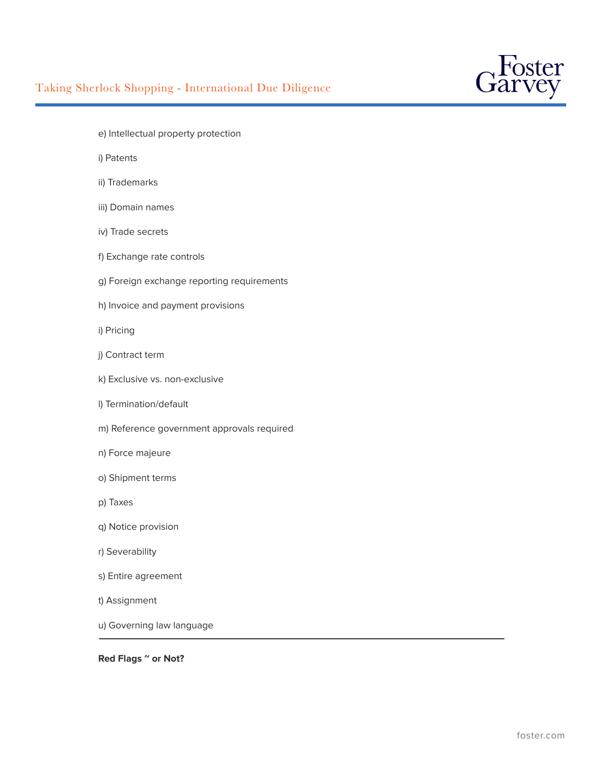

- e) Intellectual property protection
- i) Patents
- ii) Trademarks
- iii) Domain names
- iv) Trade secrets
- f) Exchange rate controls
- g) Foreign exchange reporting requirements
- h) Invoice and payment provisions
- i) Pricing
- j) Contract term
- k) Exclusive vs. non-exclusive
- l) Termination/default
- m) Reference government approvals required
- n) Force majeure
- o) Shipment terms
- p) Taxes
- q) Notice provision
- r) Severability
- s) Entire agreement
- t) Assignment
- u) Governing law language  $\overline{a}$

## **Red Flags ~ or Not?**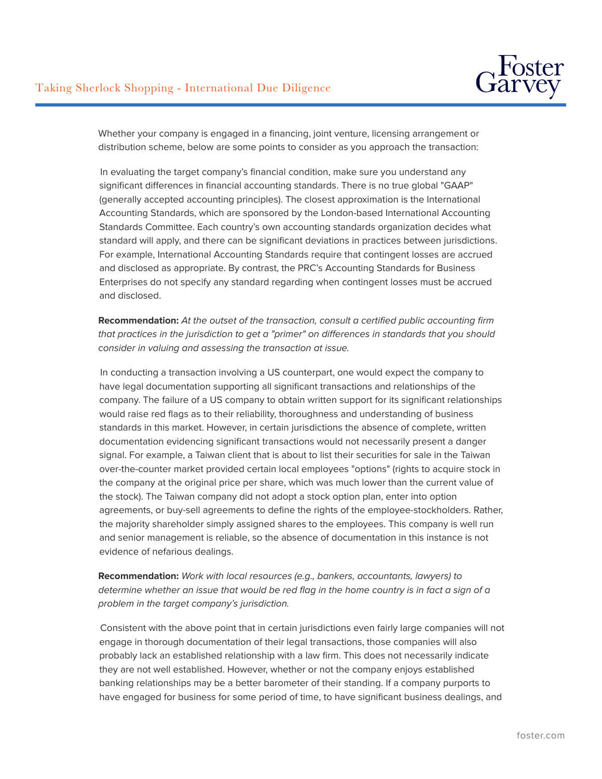

Whether your company is engaged in a financing, joint venture, licensing arrangement or distribution scheme, below are some points to consider as you approach the transaction:

In evaluating the target company's financial condition, make sure you understand any significant differences in financial accounting standards. There is no true global "GAAP" (generally accepted accounting principles). The closest approximation is the International Accounting Standards, which are sponsored by the London-based International Accounting Standards Committee. Each country's own accounting standards organization decides what standard will apply, and there can be significant deviations in practices between jurisdictions. For example, International Accounting Standards require that contingent losses are accrued and disclosed as appropriate. By contrast, the PRC's Accounting Standards for Business Enterprises do not specify any standard regarding when contingent losses must be accrued and disclosed.

**Recommendation:** *At the outset of the transaction, consult a certified public accounting firm that practices in the jurisdiction to get a "primer" on differences in standards that you should consider in valuing and assessing the transaction at issue.*

In conducting a transaction involving a US counterpart, one would expect the company to have legal documentation supporting all significant transactions and relationships of the company. The failure of a US company to obtain written support for its significant relationships would raise red flags as to their reliability, thoroughness and understanding of business standards in this market. However, in certain jurisdictions the absence of complete, written documentation evidencing significant transactions would not necessarily present a danger signal. For example, a Taiwan client that is about to list their securities for sale in the Taiwan over-the-counter market provided certain local employees "options" (rights to acquire stock in the company at the original price per share, which was much lower than the current value of the stock). The Taiwan company did not adopt a stock option plan, enter into option agreements, or buy-sell agreements to define the rights of the employee-stockholders. Rather, the majority shareholder simply assigned shares to the employees. This company is well run and senior management is reliable, so the absence of documentation in this instance is not evidence of nefarious dealings.

## **Recommendation:** *Work with local resources (e.g., bankers, accountants, lawyers) to determine whether an issue that would be red flag in the home country is in fact a sign of a problem in the target company's jurisdiction.*

Consistent with the above point that in certain jurisdictions even fairly large companies will not engage in thorough documentation of their legal transactions, those companies will also probably lack an established relationship with a law firm. This does not necessarily indicate they are not well established. However, whether or not the company enjoys established banking relationships may be a better barometer of their standing. If a company purports to have engaged for business for some period of time, to have significant business dealings, and